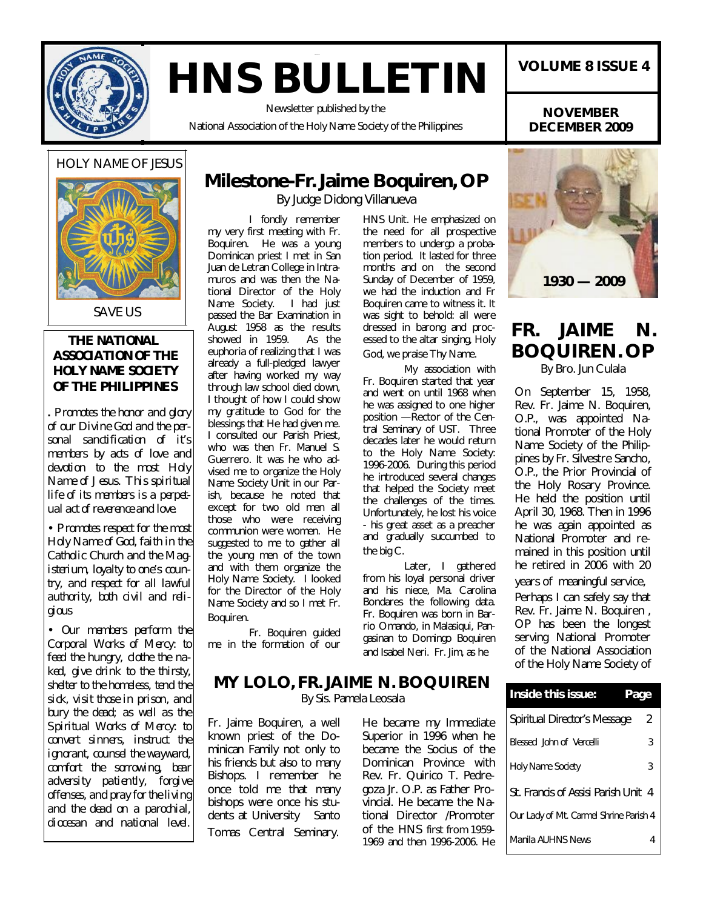

# **HNS BULLETIN**

Newsletter published by the

National Association of the Holy Name Society of the Philippines

### **VOLUME 8 ISSUE 4**

**NOVEMBER DECEMBER 2009**

#### HOLY NAME OF JESUS



#### **THE NATIONAL ASSOCIATION OF THE HOLY NAME SOCIETY OF THE PHILIPPINES**

*. Promotes the honor and glory of our Divine God and the personal sanctification of it's members by acts of love and devotion to the most Holy Name of Jesus. This spiritual life of its members is a perpetual act of reverence and love.*

• *Promotes respect for the most Holy Name of God, faith in the Catholic Church and the Magisterium, loyalty to one's country, and respect for all lawful authority, both civil and religious*

• *Our members perform the Corporal Works of Mercy: to feed the hungry, clothe the naked, give drink to the thirsty, shelter to the homeless, tend the sick, visit those in prison, and bury the dead; as well as the Spiritual Works of Mercy: to convert sinners, instruct the ignorant, counsel the wayward, comfort the sorrowing, bear adversity patiently, forgive offenses, and pray for the living and the dead on a parochial, diocesan and national level.*

### **Milestone-Fr. Jaime Boquiren, OP**

By Judge Didong Villanueva

I fondly remember my very first meeting with Fr. Boquiren. He was a young Dominican priest I met in San Juan de Letran College in Intramuros and was then the National Director of the Holy Name Society. I had just passed the Bar Examination in August 1958 as the results<br>showed in 1959. As the showed in  $1959$ . euphoria of realizing that I was already a full-pledged lawyer after having worked my way through law school died down, I thought of how I could show my gratitude to God for the blessings that He had given me. I consulted our Parish Priest, who was then Fr. Manuel S. Guerrero. It was he who advised me to organize the Holy Name Society Unit in our Parish, because he noted that except for two old men all those who were receiving communion were women. He suggested to me to gather all the young men of the town and with them organize the Holy Name Society. I looked for the Director of the Holy Name Society and so I met Fr. Boquiren.

Fr. Boquiren guided me in the formation of our HNS Unit. He emphasized on the need for all prospective members to undergo a probation period. It lasted for three months and on the second Sunday of December of 1959, we had the induction and Fr Boquiren came to witness it. It was sight to behold: all were dressed in barong and processed to the altar singing, Holy God, we praise Thy Name.

My association with Fr. Boquiren started that year and went on until 1968 when he was assigned to one higher position - Rector of the Central Seminary of UST. Three decades later he would return to the Holy Name Society: 1996-2006. During this period he introduced several changes that helped the Society meet the challenges of the times. Unfortunately, he lost his voice - his great asset as a preacher and gradually succumbed to the big C.

Later, I gathered from his loyal personal driver and his niece, Ma. Carolina Bondares the following data. Fr. Boquiren was born in Barrio Omando, in Malasiqui, Pangasinan to Domingo Boquiren and Isabel Neri. Fr. Jim, as he



### **FR. JAIME N. BOQUIREN. OP**

By Bro. Jun Culala

On September 15, 1958, Rev. Fr. Jaime N. Boquiren, O.P., was appointed National Promoter of the Holy Name Society of the Philippines by Fr. Silvestre Sancho, O.P., the Prior Provincial of the Holy Rosary Province. He held the position until April 30, 1968. Then in 1996 he was again appointed as National Promoter and remained in this position until he retired in 2006 with 20 years of meaningful service, Perhaps I can safely say that Rev. Fr. Jaime N. Boquiren , OP has been the longest serving National Promoter of the National Association

### **MY LOLO, FR. JAIME N. BOQUIREN** By Sis. Pamela Leosala

Fr. Jaime Boquiren, a well known priest of the Dominican Family not only to his friends but also to many Bishops. I remember he once told me that many bishops were once his students at University Santo Tomas Central Seminary.

He became my Immediate Superior in 1996 when he became the Socius of the Dominican Province with Rev. Fr. Quirico T. Pedregoza Jr. O.P. as Father Provincial. He became the National Director /Promoter of the HNS first from 1959- 1969 and then 1996-2006. He

| <b>Inside this issue:</b>              |   |
|----------------------------------------|---|
| Spiritual Director's Message           | 2 |
| <b>Blessed John of Vercelli</b>        | 3 |
| <b>Holy Name Society</b>               | 3 |
| St. Francis of Assisi Parish Unit 4    |   |
| Our Lady of Mt. Carmel Shrine Parish 4 |   |
| Manila AUHNS News                      |   |

of the Holy Name Society of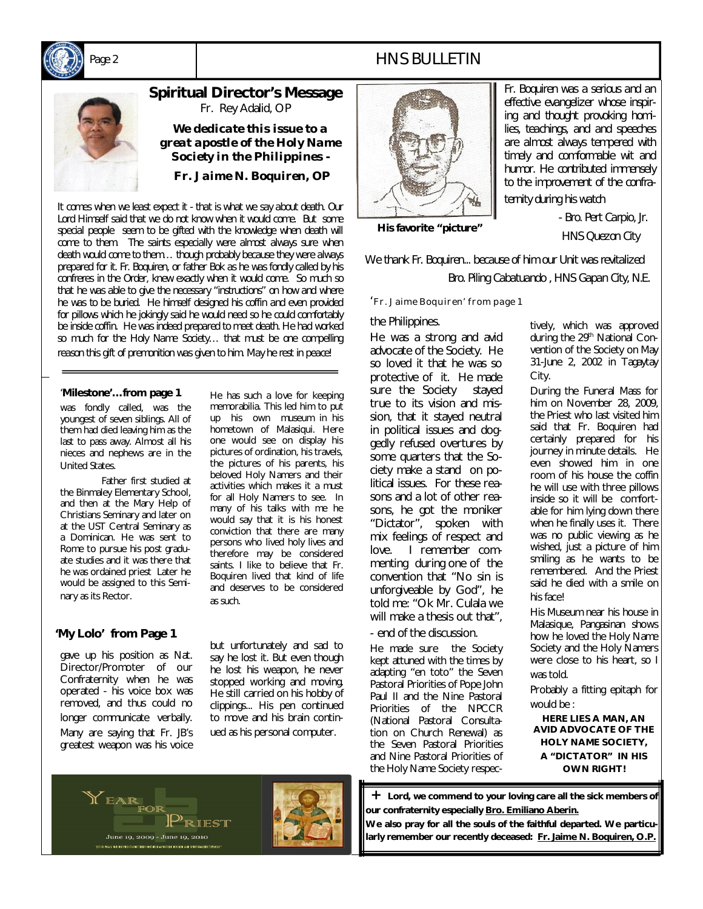

### *Page 2* HNS BULLETIN

## **Spiritual Director's Message**  Fr. Rey Adalid, OP

*We dedicate this issue to a great apostle of the Holy Name Society in the Philippines -*

 *Fr. Jaime N. Boquiren, OP*

*It comes when we least expect it - that is what we say about death. Our Lord Himself said that we do not know when it would come. But some special people seem to be gifted with the knowledge when death will come to them. The saints especially were almost always sure when death would come to them… though probably because they were always prepared for it. Fr. Boquiren, or father Bok as he was fondly called by his confreres in the Order, knew exactly when it would come. So much so that he was able to give the necessary "instructions" on how and where he was to be buried. He himself designed his coffin and even provided for pillows which he jokingly said he would need so he could comfortably be inside coffin. He was indeed prepared to meet death. He had worked so much for the Holy Name Society… that must be one compelling reason this gift of premonition was given to him. May he rest in peace!*

#### '**Milestone'…from page 1**

was fondly called, was the youngest of seven siblings. All of them had died leaving him as the last to pass away. Almost all his nieces and nephews are in the United States.

Father first studied at the Binmaley Elementary School, and then at the Mary Help of Christians Seminary and later on at the UST Central Seminary as a Dominican. He was sent to Rome to pursue his post graduate studies and it was there that he was ordained priest Later he would be assigned to this Seminary as its Rector.

#### **'My Lolo' from Page 1**

gave up his position as Nat. Director/Promoter of our Confraternity when he was operated - his voice box was removed, and thus could no longer communicate verbally. Many are saying that Fr. JB's greatest weapon was his voice

up his own museum in his hometown of Malasiqui. Here one would see on display his pictures of ordination, his travels, the pictures of his parents, his beloved Holy Namers and their activities which makes it a must for all Holy Namers to see. In many of his talks with me he would say that it is his honest conviction that there are many persons who lived holy lives and therefore may be considered saints. I like to believe that Fr. Boquiren lived that kind of life and deserves to be considered as such.

He has such a love for keeping memorabilia. This led him to put

but unfortunately and sad to say he lost it. But even though he lost his weapon, he never stopped working and moving. He still carried on his hobby of clippings... His pen continued to move and his brain continued as his personal computer.



*Fr. Boquiren was a serious and an effective evangelizer whose inspiring and thought provoking homilies, teachings, and and speeches are almost always tempered with timely and comformable wit and humor. He contributed immensely to the improvement of the confraternity during his watch*

 **His favorite "picture"**

 *- Bro. Pert Carpio, Jr. HNS Quezon City*

*We thank Fr. Boquiren... because of him our Unit was revitalized*

 *Bro. Piling Cabatuando , HNS Gapan City, N.E.*

'Fr. Jaime Boquiren' from page 1

#### the Philippines.

He was a strong and avid advocate of the Society. He so loved it that he was so protective of it. He made sure the Society stayed true to its vision and mission, that it stayed neutral in political issues and doggedly refused overtures by some quarters that the Society make a stand on political issues. For these reasons and a lot of other reasons, he got the moniker "Dictator", spoken with mix feelings of respect and love. I remember commenting during one of the convention that "No sin is unforgiveable by God", he told me: "Ok Mr. Culala we will make a thesis out that".

- end of the discussion.

He made sure the Society kept attuned with the times by adapting "en toto" the Seven Pastoral Priorities of Pope John Paul II and the Nine Pastoral Priorities of the NPCCR (National Pastoral Consultation on Church Renewal) as the Seven Pastoral Priorities and Nine Pastoral Priorities of the Holy Name Society respectively, which was approved during the 29<sup>th</sup> National Convention of the Society on May 31-June 2, 2002 in Tagaytay City.

During the Funeral Mass for him on November 28, 2009, the Priest who last visited him said that Fr. Boquiren had certainly prepared for his journey in minute details. He even showed him in one room of his house the coffin he will use with three pillows inside so it will be comfortable for him lying down there when he finally uses it. There was no public viewing as he wished, just a picture of him smiling as he wants to be remembered. And the Priest said he died with a smile on his face!

His Museum near his house in Malasique, Pangasinan shows how he loved the Holy Name Society and the Holy Namers were close to his heart, so I was told.

Probably a fitting epitaph for would be :

**HERE LIES A MAN, AN AVID ADVOCATE OF THE HOLY NAME SOCIETY, A "DICTATOR" IN HIS OWN RIGHT***!*

Lord, we commend to your loving care all the sick members of **our confraternity especially Bro. Emiliano Aberin.** 

**We also pray for all the souls of the faithful departed. We particularly remember our recently deceased: Fr. Jaime N. Boquiren, O.P.**

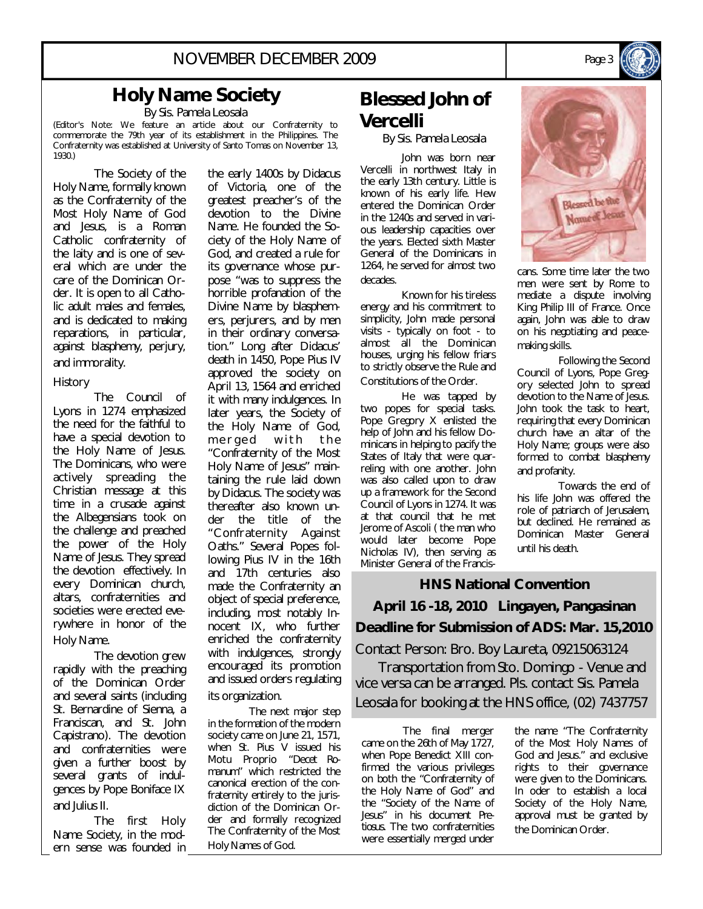### **Holy Name Society**

By Sis. Pamela Leosala

(Editor's Note: We feature an article about our Confraternity to commemorate the 79th year of its establishment in the Philippines. The Confraternity was established at University of Santo Tomas on November 13, 1930.)

The Society of the Holy Name, formally known as the Confraternity of the Most Holy Name of God and Jesus, is a Roman Catholic confraternity of the laity and is one of several which are under the care of the Dominican Order. It is open to all Catholic adult males and females, and is dedicated to making reparations, in particular, against blasphemy, perjury, and immorality.

#### History

The Council of Lyons in 1274 emphasized the need for the faithful to have a special devotion to the Holy Name of Jesus. The Dominicans, who were actively spreading the Christian message at this time in a crusade against the Albegensians took on the challenge and preached the power of the Holy Name of Jesus. They spread the devotion effectively. In every Dominican church, altars, confraternities and societies were erected everywhere in honor of the Holy Name.

The devotion grew rapidly with the preaching of the Dominican Order and several saints (including St. Bernardine of Sienna, a Franciscan, and St. John Capistrano). The devotion and confraternities were given a further boost by several grants of indulgences by Pope Boniface IX and Julius II.

The first Holy Name Society, in the modern sense was founded in the early 1400s by Didacus of Victoria, one of the greatest preacher's of the devotion to the Divine Name. He founded the Society of the Holy Name of God, and created a rule for its governance whose purpose "was to suppress the horrible profanation of the Divine Name by blasphemers, perjurers, and by men in their ordinary conversation." Long after Didacus' death in 1450, Pope Pius IV approved the society on April 13, 1564 and enriched it with many indulgences. In later years, the Society of the Holy Name of God, merged with the "Confraternity of the Most Holy Name of Jesus" maintaining the rule laid down by Didacus. The society was thereafter also known under the title of the "Confraternity Against Oaths." Several Popes following Pius IV in the 16th and 17th centuries also made the Confraternity an object of special preference, including, most notably Innocent IX, who further enriched the confraternity with indulgences, strongly encouraged its promotion and issued orders regulating its organization.

The next major step in the formation of the modern society came on June 21, 1571, when St. Pius V issued his Motu Proprio "*Decet Romanum*" which restricted the canonical erection of the confraternity entirely to the jurisdiction of the Dominican Order and formally recognized The Confraternity of the Most Holy Names of God.

### **Blessed John of Vercelli**

By Sis. Pamela Leosala

John was born near Vercelli in northwest Italy in the early 13th century. Little is known of his early life. Hew entered the Dominican Order in the 1240s and served in various leadership capacities over the years. Elected sixth Master General of the Dominicans in 1264, he served for almost two decades.

Known for his tireless energy and his commitment to simplicity, John made personal visits - typically on foot - to almost all the Dominican houses, urging his fellow friars to strictly observe the Rule and Constitutions of the Order.

He was tapped by two popes for special tasks. Pope Gregory X enlisted the help of John and his fellow Dominicans in helping to pacify the States of Italy that were quarreling with one another. John was also called upon to draw up a framework for the Second Council of Lyons in 1274. It was at that council that he met Jerome of Ascoli ( the man who would later become Pope Nicholas IV), then serving as Minister General of the Francis-



mediate a dispute involving King Philip III of France. Once again, John was able to draw on his negotiating and peacemaking skills.

Following the Second Council of Lyons, Pope Gregory selected John to spread devotion to the Name of Jesus. John took the task to heart, requiring that every Dominican church have an altar of the Holy Name; groups were also formed to combat blasphemy and profanity.

Towards the end of his life John was offered the role of patriarch of Jerusalem, but declined. He remained as Dominican Master General until his death.

**HNS National Convention April 16 -18, 2010 Lingayen, Pangasinan Deadline for Submission of ADS: Mar. 15,2010** Contact Person: Bro. Boy Laureta, 09215063124 Transportation from Sto. Domingo - Venue and vice versa can be arranged. Pls. contact Sis. Pamela Leosala for booking at the HNS office, (02) 7437757

The final merger came on the 26th of May 1727, when Pope Benedict XIII confirmed the various privileges on both the "Confraternity of the Holy Name of God" and the "Society of the Name of Jesus" in his document *Pretiosus*. The two confraternities were essentially merged under

the name "The Confraternity of the Most Holy Names of God and Jesus." and exclusive rights to their governance were given to the Dominicans. In oder to establish a local Society of the Holy Name, approval must be granted by the Dominican Order.